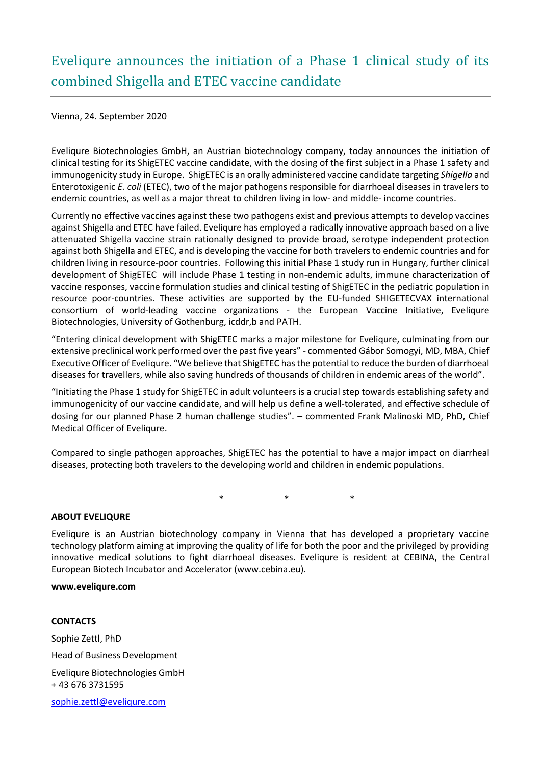## Eveliqure announces the initiation of a Phase 1 clinical study of its combined Shigella and ETEC vaccine candidate

Vienna, 24. September 2020

Eveliqure Biotechnologies GmbH, an Austrian biotechnology company, today announces the initiation of clinical testing for its ShigETEC vaccine candidate, with the dosing of the first subject in a Phase 1 safety and immunogenicity study in Europe. ShigETEC is an orally administered vaccine candidate targeting *Shigella* and Enterotoxigenic *E. coli* (ETEC), two of the major pathogens responsible for diarrhoeal diseases in travelers to endemic countries, as well as a major threat to children living in low- and middle- income countries.

Currently no effective vaccines against these two pathogens exist and previous attempts to develop vaccines against Shigella and ETEC have failed. Eveliqure has employed a radically innovative approach based on a live attenuated Shigella vaccine strain rationally designed to provide broad, serotype independent protection against both Shigella and ETEC, and is developing the vaccine for both travelers to endemic countries and for children living in resource-poor countries. Following this initial Phase 1 study run in Hungary, further clinical development of ShigETEC will include Phase 1 testing in non-endemic adults, immune characterization of vaccine responses, vaccine formulation studies and clinical testing of ShigETEC in the pediatric population in resource poor-countries. These activities are supported by the EU-funded SHIGETECVAX international consortium of world-leading vaccine organizations - the European Vaccine Initiative, Eveliqure Biotechnologies, University of Gothenburg, icddr,b and PATH.

"Entering clinical development with ShigETEC marks a major milestone for Eveliqure, culminating from our extensive preclinical work performed over the past five years" - commented Gábor Somogyi, MD, MBA, Chief Executive Officer of Eveliqure. "We believe that ShigETEC has the potential to reduce the burden of diarrhoeal diseases for travellers, while also saving hundreds of thousands of children in endemic areas of the world".

"Initiating the Phase 1 study for ShigETEC in adult volunteers is a crucial step towards establishing safety and immunogenicity of our vaccine candidate, and will help us define a well-tolerated, and effective schedule of dosing for our planned Phase 2 human challenge studies". – commented Frank Malinoski MD, PhD, Chief Medical Officer of Eveliqure.

Compared to single pathogen approaches, ShigETEC has the potential to have a major impact on diarrheal diseases, protecting both travelers to the developing world and children in endemic populations.

\* \* \*

## **ABOUT EVELIQURE**

Eveliqure is an Austrian biotechnology company in Vienna that has developed a proprietary vaccine technology platform aiming at improving the quality of life for both the poor and the privileged by providing innovative medical solutions to fight diarrhoeal diseases. Eveliqure is resident at CEBINA, the Central European Biotech Incubator and Accelerator (www.cebina.eu).

## **www.eveliqure.com**

## **CONTACTS**

Sophie Zettl, PhD Head of Business Development Eveliqure Biotechnologies GmbH + 43 676 3731595 [sophie.zettl@eveliqure.com](mailto:akos@urbancomm.hu)